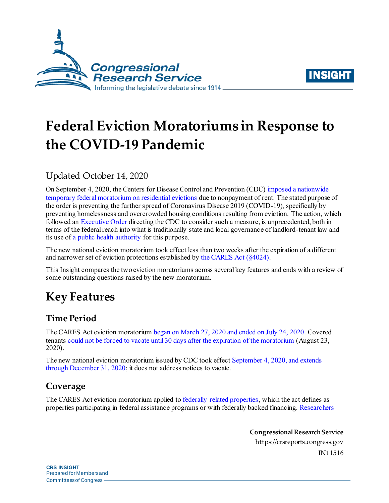



# **Federal Eviction Moratoriums in Response to the COVID-19 Pandemic**

## Updated October 14, 2020

On September 4, 2020, the Centers for Disease Control and Prevention (CDC[\) imposed a nationwide](https://www.federalregister.gov/documents/2020/09/04/2020-19654/temporary-halt-in-residential-evictions-to-prevent-the-further-spread-of-covid-19)  [temporary federal moratorium on residential evictions](https://www.federalregister.gov/documents/2020/09/04/2020-19654/temporary-halt-in-residential-evictions-to-prevent-the-further-spread-of-covid-19) due to nonpayment of rent. The stated purpose of the order is preventing the further spread of Coronavirus Disease 2019 (COVID-19), specifically by preventing homelessness and overcrowded housing conditions resulting from eviction. The action, which followed an [Executive Order](https://www.whitehouse.gov/presidential-actions/executive-order-fighting-spread-covid-19-providing-assistance-renters-homeowners/) directing the CDC to consider such a measure, is unprecedented, both in terms of the federal reach into what is traditionally state and local governance of landlord-tenant law and its use of [a public health authority](https://www.federalregister.gov/d/2020-19654/p-89) for this purpose.

The new national eviction moratorium took effect less than two weeks after the expiration of a different and narrower set of eviction protections established b[y the CARES Act](https://crsreports.congress.gov/product/pdf/IN/IN11320) (§4024).

This Insight compares the two eviction moratoriums across several key features and ends with a review of some outstanding questions raised by the new moratorium.

## **Key Features**

## **Time Period**

The CARES Act eviction moratorium [began on March 27, 2020 and ended on July 24, 2020.](https://www.congress.gov/bill/116th-congress/house-bill/748/text/enr?q=%7B%22search%22%3A%5B%22cite%3APL116-136%22%5D%7D&r=1#H7988C4AFEE464820A9042F7009873659) Covered tenants [could not be forced to vacate until 30 days after the expiration of the moratorium](https://www.congress.gov/bill/116th-congress/house-bill/748/text/enr?q=%7B%22search%22%3A%5B%22cite%3APL116-136%22%5D%7D&r=1#H04FF058C794249499CAB6B19C6279FD0) (August 23, 2020).

The new national eviction moratorium issued by CDC took effec[t September 4, 2020,](https://www.federalregister.gov/d/2020-19654/p-4) and extends [through December 31, 2020;](https://www.federalregister.gov/d/2020-19654/p-4) it does not address notices to vacate.

## **Coverage**

The CARES Act eviction moratorium applied t[o federally related properties,](https://www.congress.gov/bill/116th-congress/house-bill/748/text/enr?q=%7B%22search%22%3A%5B%22cite%3APL116-136%22%5D%7D&r=1#H0308874BF630488099FC588C4D00D4C0) which the act defines as properties participating in federal assistance programs or with federally backed financing[. Researchers](https://www.frbatlanta.org/community-development/publications/partners-update/2020/covid-19-publications/200616-housing-policy-impact-federal-eviction-protection-coverage-and-the-need-for-better-data) 

> **Congressional Research Service** https://crsreports.congress.gov IN11516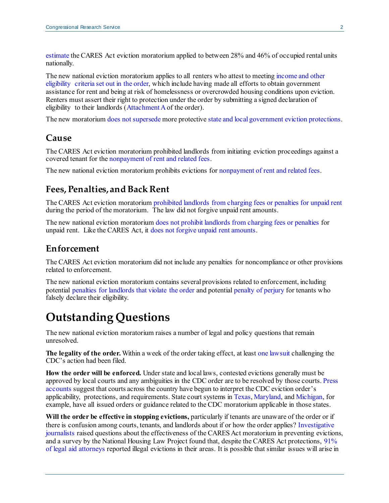[estimate](https://www.frbatlanta.org/community-development/publications/partners-update/2020/covid-19-publications/200616-housing-policy-impact-federal-eviction-protection-coverage-and-the-need-for-better-data) the CARES Act eviction moratorium applied to between 28% and 46% of occupied rental units nationally.

The new national eviction moratorium applies to all renters who attest to meetin[g income and other](https://www.federalregister.gov/d/2020-19654/p-21)  [eligibility criteria set out in the order,](https://www.federalregister.gov/d/2020-19654/p-21) which include having made all efforts to obtain government assistance for rent and being at risk of homelessness or overcrowded housing conditions upon eviction. Renters must assert their right to protection under the order by submitting a signed declaration of eligibility to their landlords [\(Attachment A](https://www.federalregister.gov/d/2020-19654/p-107) of the order).

The new moratoriu[m does not supersede](https://www.federalregister.gov/d/2020-19654/p-12) more protectiv[e state and local government eviction protections](https://docs.google.com/spreadsheets/d/e/2PACX-1vTH8dUIbfnt3X52TrY3dEHQCAm60e5nqo0Rn1rNCf15dPGeXxM9QN9UdxUfEjxwvfTKzbCbZxJMdR7X/pubhtml).

#### **Cause**

The CARES Act eviction moratorium prohibited landlords from initiating eviction proceedings against a covered tenant for th[e nonpayment of rent and related fees.](https://www.congress.gov/bill/116th-congress/house-bill/748/text/enr?q=%7B%22search%22%3A%5B%22cite%3APL116-136%22%5D%7D&r=1#H7988C4AFEE464820A9042F7009873659)

The new national eviction moratorium prohibits evictions for [nonpayment of rent](https://www.federalregister.gov/d/2020-19654/p-47) and related fees.

#### **Fees, Penalties, and Back Rent**

The CARES Act eviction moratoriu[m prohibited landlords from charging fees or penalties for unpaid rent](https://www.congress.gov/bill/116th-congress/house-bill/748/text/enr?q=%7B%22search%22%3A%5B%22cite%3APL116-136%22%5D%7D&r=1#H8DFE03D3A04342A8B47D708B3B49407F) during the period of the moratorium. The law did not forgive unpaid rent amounts.

The new national eviction moratoriu[m does not prohibit landlords from charging fees or penalties](https://www.federalregister.gov/d/2020-19654/p-15) for unpaid rent. Like the CARES Act, it [does not forgive unpaid rent amounts.](https://www.federalregister.gov/d/2020-19654/p-15)

## **Enforcement**

The CARES Act eviction moratorium did not include any penalties for noncompliance or other provisions related to enforcement.

The new national eviction moratorium contains several provisions related to enforcement, including potential [penalties for landlords that violate the order](https://www.federalregister.gov/d/2020-19654/p-98) and potential [penalty of perjury](https://www.federalregister.gov/d/2020-19654/p-108) for tenants who falsely declare their eligibility.

## **Outstanding Questions**

The new national eviction moratorium raises a number of legal and policy questions that remain unresolved.

**The legality of the order.** Within a week of the order taking effect, at leas[t one lawsuit](https://nclalegal.org/rick-brown-v-secretary-alex-azar-et-al-ncla-challenges-unlawful-cdc-order-that-leaves-landlords-powerless-to-evict-delinquent-tenants/) challenging the CDC's action had been filed.

**How the order will be enforced.** Under state and local laws, contested evictions generally must be approved by local courts and any ambiguities in the CDC order are to be resolved by those courts. [Press](https://www.nytimes.com/2020/09/16/business/eviction-moratorium-renters-landlords.html)  [accounts](https://www.nytimes.com/2020/09/16/business/eviction-moratorium-renters-landlords.html) suggest that courts across the country have begun to interpret the CDC eviction order's applicability, protections, and requirements. State court systems i[n Texas](https://www.txcourts.gov/supreme/news/court-adds-federal-provisions-to-eviction-requirements/)[, Maryland](https://www.courts.state.md.us/sites/default/files/import/district/phaseIV_communication_landlordtenant_9.4.20.pdf), an[d Michigan,](https://courts.michigan.gov/News-Events/covid19-resources/Documents/CDC_Eviction_Moratorium_FAQ_9-3-20.pdf) for example, have all issued orders or guidance related to the CDC moratorium applicable in those states.

**Will the order be effective in stopping evictions,** particularly if tenants are unaware of the order or if there is confusion among courts, tenants, and landlords about if or how the order applies[? Investigative](https://homeless.cnsmaryland.org/evictions/)  [journalists](https://homeless.cnsmaryland.org/evictions/) raised questions about the effectiveness of the CARES Act moratorium in preventing evictions, and a survey by the National Housing Law Project found that, despite the CARES Act protections[, 91%](https://www.nhlp.org/wp-content/uploads/Evictions-Survey-Results-2020.pdf)  [of legal aid attorneys](https://www.nhlp.org/wp-content/uploads/Evictions-Survey-Results-2020.pdf) reported illegal evictions in their areas. It is possible that similar issues will arise in